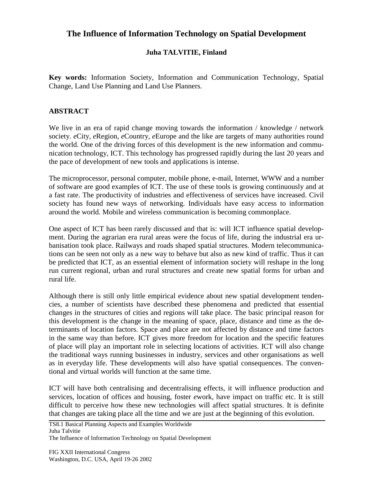## **The Influence of Information Technology on Spatial Development**

## **Juha TALVITIE, Finland**

**Key words:** Information Society, Information and Communication Technology, Spatial Change, Land Use Planning and Land Use Planners.

## **ABSTRACT**

We live in an era of rapid change moving towards the information / knowledge / network society. *e*City, *e*Region, *e*Country, *e*Europe and the like are targets of many authorities round the world. One of the driving forces of this development is the new information and communication technology, ICT. This technology has progressed rapidly during the last 20 years and the pace of development of new tools and applications is intense.

The microprocessor, personal computer, mobile phone, e-mail, Internet, WWW and a number of software are good examples of ICT. The use of these tools is growing continuously and at a fast rate. The productivity of industries and effectiveness of services have increased. Civil society has found new ways of networking. Individuals have easy access to information around the world. Mobile and wireless communication is becoming commonplace.

One aspect of ICT has been rarely discussed and that is: will ICT influence spatial development. During the agrarian era rural areas were the focus of life, during the industrial era urbanisation took place. Railways and roads shaped spatial structures. Modern telecommunications can be seen not only as a new way to behave but also as new kind of traffic. Thus it can be predicted that ICT, as an essential element of information society will reshape in the long run current regional, urban and rural structures and create new spatial forms for urban and rural life.

Although there is still only little empirical evidence about new spatial development tendencies, a number of scientists have described these phenomena and predicted that essential changes in the structures of cities and regions will take place. The basic principal reason for this development is the change in the meaning of space, place, distance and time as the determinants of location factors. Space and place are not affected by distance and time factors in the same way than before. ICT gives more freedom for location and the specific features of place will play an important role in selecting locations of activities. ICT will also change the traditional ways running businesses in industry, services and other organisations as well as in everyday life. These developments will also have spatial consequences. The conventional and virtual worlds will function at the same time.

ICT will have both centralising and decentralising effects, it will influence production and services, location of offices and housing, foster *e*work, have impact on traffic etc. It is still difficult to perceive how these new technologies will affect spatial structures. It is definite that changes are taking place all the time and we are just at the beginning of this evolution.

TS8.1 Basical Planning Aspects and Examples Worldwide Juha Talvitie

The Influence of Information Technology on Spatial Development